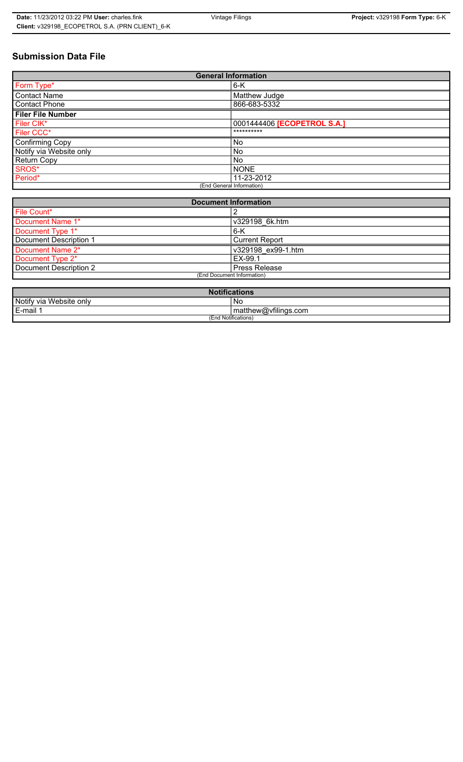# **Submission Data File**

| <b>General Information</b> |                             |
|----------------------------|-----------------------------|
| Form Type*                 | $6-K$                       |
| <b>Contact Name</b>        | Matthew Judge               |
| <b>Contact Phone</b>       | 866-683-5332                |
| <b>Filer File Number</b>   |                             |
| Filer CIK*                 | 0001444406 [ECOPETROL S.A.] |
| Filer CCC*                 | **********                  |
| Confirming Copy            | <b>No</b>                   |
| Notify via Website only    | <b>No</b>                   |
| <b>Return Copy</b>         | <b>No</b>                   |
| SROS*                      | <b>NONE</b>                 |
| Period*                    | 11-23-2012                  |
| (End General Information)  |                             |

| <b>Document Information</b> |                       |
|-----------------------------|-----------------------|
| File Count*                 |                       |
| Document Name 1*            | v329198 6k.htm        |
| Document Type 1*            | 6-K                   |
| Document Description 1      | <b>Current Report</b> |
| Document Name 2*            | v329198 ex99-1.htm    |
| Document Type 2*            | EX-99.1               |
| Document Description 2      | <b>Press Release</b>  |
| (End Document Information)  |                       |
|                             |                       |

| <b>Notifications</b>    |                      |
|-------------------------|----------------------|
| Notify via Website only | No                   |
| E-mail 1                | matthew@vfilings.com |
| (End Notifications)     |                      |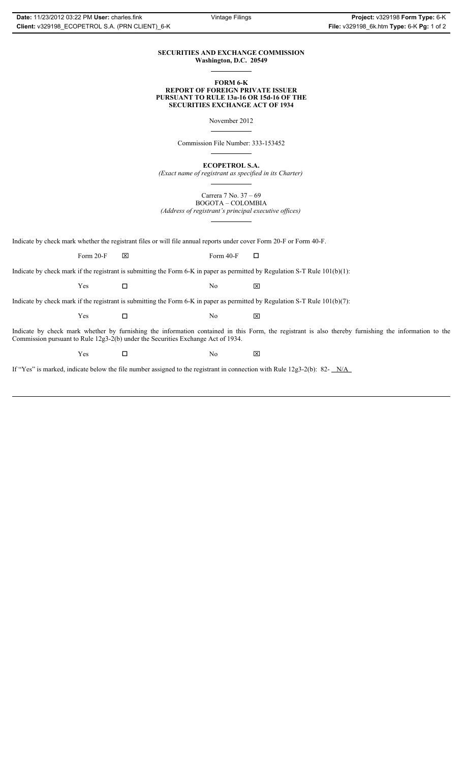#### **SECURITIES AND EXCHANGE COMMISSION Washington, D.C. 20549**

#### **FORM 6-K REPORT OF FOREIGN PRIVATE ISSUER PURSUANT TO RULE 13a-16 OR 15d-16 OF THE SECURITIES EXCHANGE ACT OF 1934**

November 2012

Commission File Number: 333-153452

**ECOPETROL S.A.**

*(Exact name of registrant as specified in its Charter)*

Carrera 7 No. 37 – 69 BOGOTA – COLOMBIA

*(Address of registrant's principal executive offices)*

Indicate by check mark whether the registrant files or will file annual reports under cover Form 20-F or Form 40-F.

Form 20-F  $\boxtimes$  Form 40-F  $\Box$ 

Indicate by check mark if the registrant is submitting the Form 6-K in paper as permitted by Regulation S-T Rule 101(b)(1):

 $Yes$   $\Box$   $No$   $X$ 

Indicate by check mark if the registrant is submitting the Form 6-K in paper as permitted by Regulation S-T Rule 101(b)(7):

 $Yes$   $\Box$   $No$   $X$ 

Indicate by check mark whether by furnishing the information contained in this Form, the registrant is also thereby furnishing the information to the Commission pursuant to Rule 12g3-2(b) under the Securities Exchange Act of 1934.

 $Yes$   $\square$ 

If "Yes" is marked, indicate below the file number assigned to the registrant in connection with Rule 12g3-2(b): 82- N/A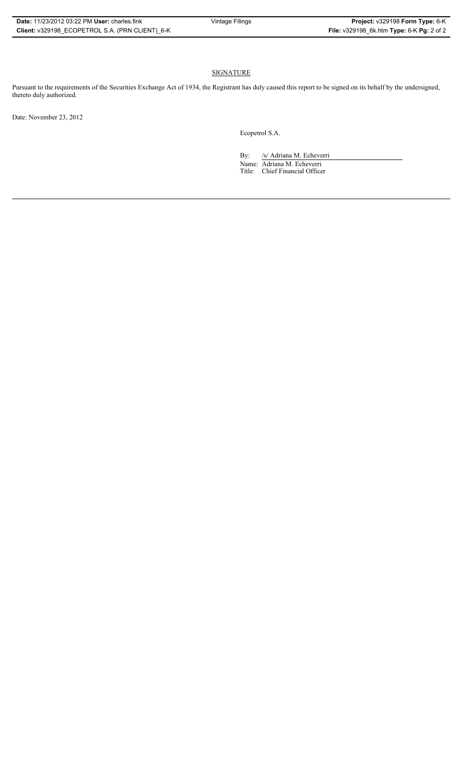## SIGNATURE

Pursuant to the requirements of the Securities Exchange Act of 1934, the Registrant has duly caused this report to be signed on its behalf by the undersigned, thereto duly authorized.

Date: November 23, 2012

Ecopetrol S.A.

By: /s/ Adriana M. Echeverri Name: Adriana M. Echeverri Title: Chief Financial Officer